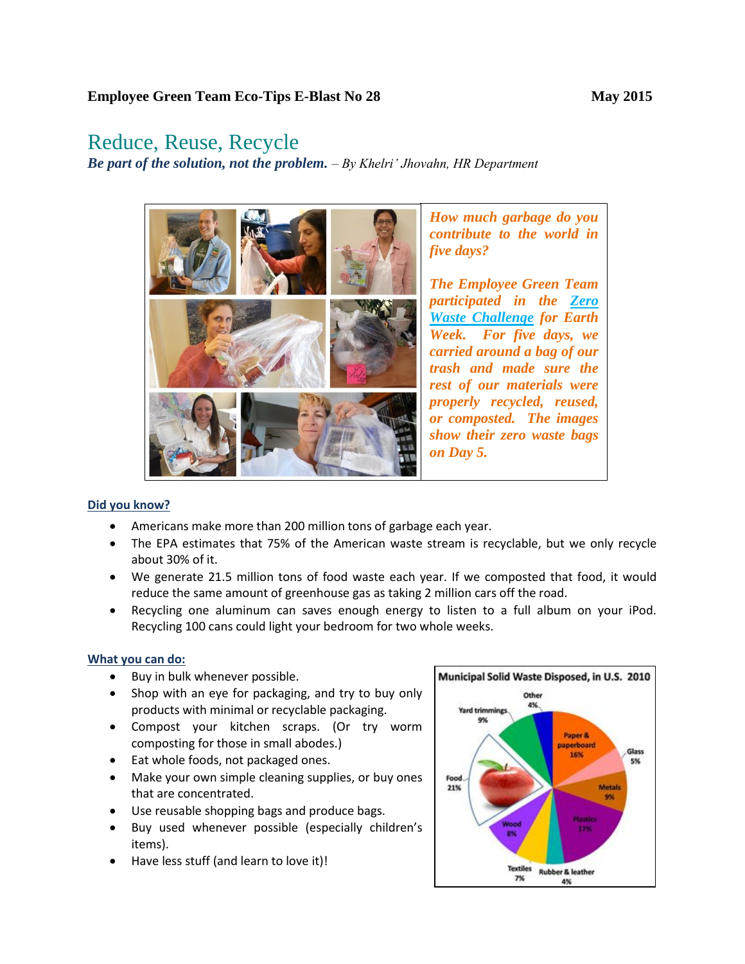## Reduce, Reuse, Recycle

*Be part of the solution, not the problem. – By Khelri' Jhovahn, HR Department*



## **Did you know?**

- Americans make more than 200 million tons of garbage each year.
- The EPA estimates that 75% of the American waste stream is recyclable, but we only recycle about 30% of it.
- We generate 21.5 million tons of food waste each year. If we composted that food, it would reduce the same amount of greenhouse gas as taking 2 million cars off the road.
- Recycling one aluminum can saves enough energy to listen to a full album on your iPod. Recycling 100 cans could light your bedroom for two whole weeks.

## **What you can do:**

- Buy in bulk whenever possible.
- Shop with an eye for packaging, and try to buy only products with minimal or recyclable packaging.
- Compost your kitchen scraps. (Or try worm composting for those in small abodes.)
- Eat whole foods, not packaged ones.
- Make your own simple cleaning supplies, or buy ones that are concentrated.
- Use reusable shopping bags and produce bags.
- Buy used whenever possible (especially children's items).
- Have less stuff (and learn to love it)!